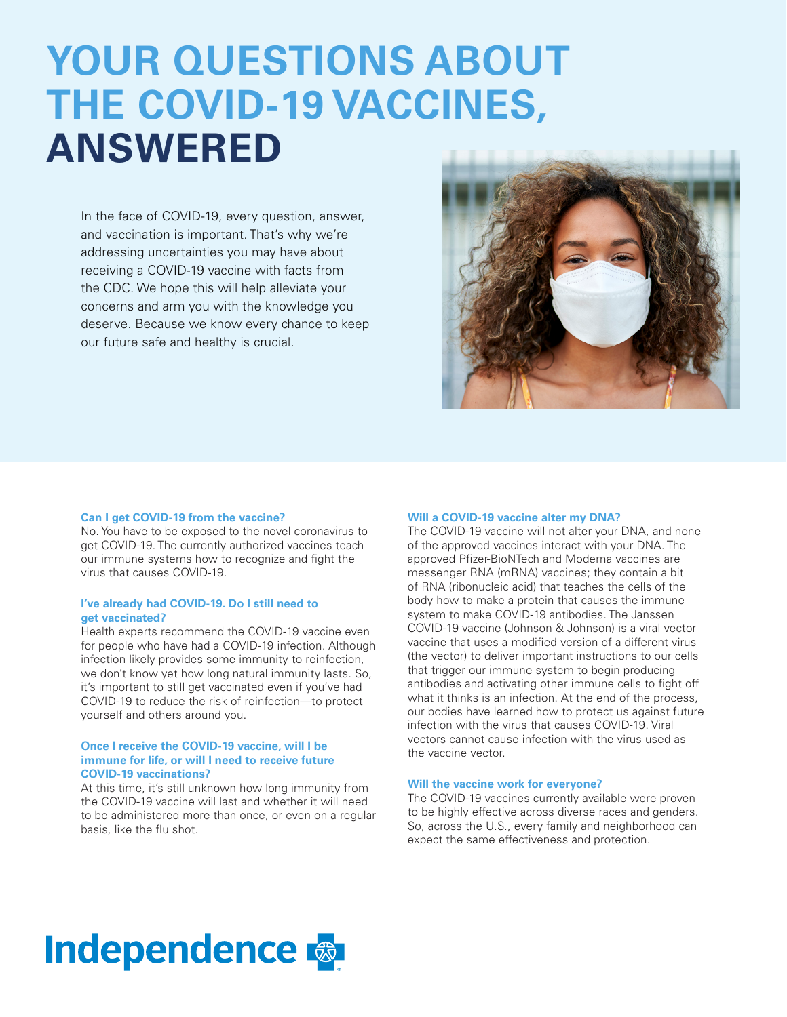# **YOUR QUESTIONS ABOUT THE COVID-19 VACCINES, ANSWERED**

In the face of COVID-19, every question, answer, and vaccination is important. That's why we're addressing uncertainties you may have about receiving a COVID-19 vaccine with facts from the CDC. We hope this will help alleviate your concerns and arm you with the knowledge you deserve. Because we know every chance to keep our future safe and healthy is crucial.



#### **Can I get COVID-19 from the vaccine?**

No. You have to be exposed to the novel coronavirus to get COVID-19. The currently authorized vaccines teach our immune systems how to recognize and fight the virus that causes COVID-19.

# **I've already had COVID-19. Do I still need to get vaccinated?**

Health experts recommend the COVID-19 vaccine even for people who have had a COVID-19 infection. Although infection likely provides some immunity to reinfection, we don't know yet how long natural immunity lasts. So, it's important to still get vaccinated even if you've had COVID-19 to reduce the risk of reinfection—to protect yourself and others around you.

# **Once I receive the COVID-19 vaccine, will I be immune for life, or will I need to receive future COVID-19 vaccinations?**

At this time, it's still unknown how long immunity from the COVID-19 vaccine will last and whether it will need to be administered more than once, or even on a regular basis, like the flu shot.

#### **Will a COVID-19 vaccine alter my DNA?**

The COVID-19 vaccine will not alter your DNA, and none of the approved vaccines interact with your DNA. The approved Pfizer-BioNTech and Moderna vaccines are messenger RNA (mRNA) vaccines; they contain a bit of RNA (ribonucleic acid) that teaches the cells of the body how to make a protein that causes the immune system to make COVID-19 antibodies. The Janssen COVID-19 vaccine (Johnson & Johnson) is a viral vector vaccine that uses a modified version of a different virus (the vector) to deliver important instructions to our cells that trigger our immune system to begin producing antibodies and activating other immune cells to fight off what it thinks is an infection. At the end of the process, our bodies have learned how to protect us against future infection with the virus that causes COVID-19. Viral vectors cannot cause infection with the virus used as the vaccine vector.

# **Will the vaccine work for everyone?**

The COVID-19 vaccines currently available were proven to be highly effective across diverse races and genders. So, across the U.S., every family and neighborhood can expect the same effectiveness and protection.

# **Independence &**